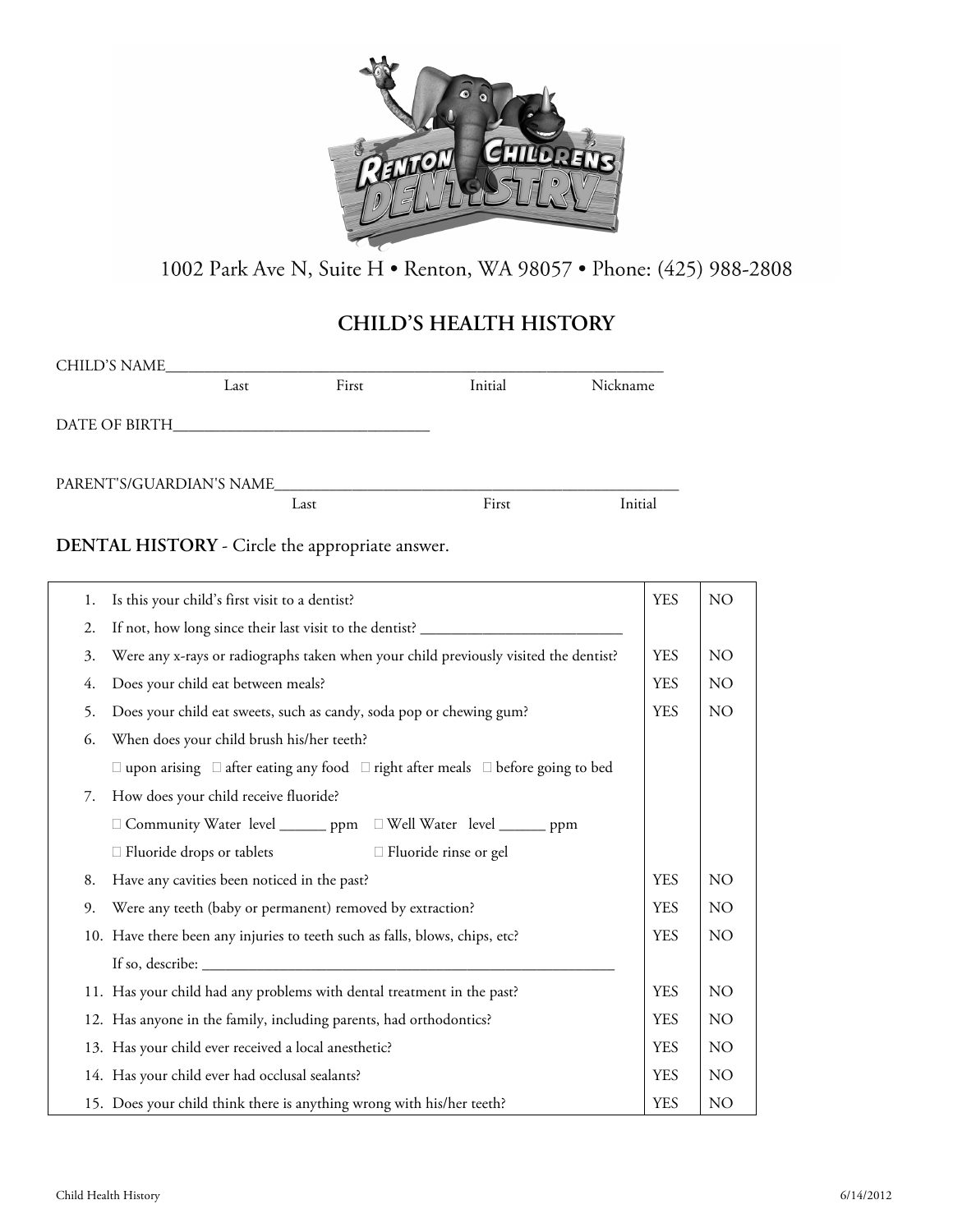

1002 Park Ave N, Suite H · Renton, WA 98057 · Phone: (425) 988-2808

# **CHILD'S HEALTH HISTORY**

| <b>CHILD'S NAME</b>      |      |       |         |          |
|--------------------------|------|-------|---------|----------|
|                          | Last | First | Initial | Nickname |
| DATE OF BIRTH            |      |       |         |          |
| PARENT'S/GUARDIAN'S NAME |      |       |         |          |
|                          |      | Last  | First   | Initial  |
|                          |      |       |         |          |

**DENTAL HISTORY** - Circle the appropriate answer.

| 1. | Is this your child's first visit to a dentist?                                                       |            | $NO$            |
|----|------------------------------------------------------------------------------------------------------|------------|-----------------|
| 2. | If not, how long since their last visit to the dentist? _________________________                    |            |                 |
| 3. | Were any x-rays or radiographs taken when your child previously visited the dentist?                 | <b>YES</b> | NO.             |
| 4. | Does your child eat between meals?                                                                   | <b>YES</b> | NO.             |
| 5. | Does your child eat sweets, such as candy, soda pop or chewing gum?                                  |            | NO              |
| 6. | When does your child brush his/her teeth?                                                            |            |                 |
|    | $\Box$ upon arising $\Box$ after eating any food $\Box$ right after meals $\Box$ before going to bed |            |                 |
| 7. | How does your child receive fluoride?                                                                |            |                 |
|    | □ Community Water level _______ ppm □ Well Water level _______ ppm                                   |            |                 |
|    | $\Box$ Fluoride rinse or gel<br>□ Fluoride drops or tablets                                          |            |                 |
| 8. | Have any cavities been noticed in the past?                                                          | <b>YES</b> | NO              |
| 9. | Were any teeth (baby or permanent) removed by extraction?                                            |            | NO              |
|    | 10. Have there been any injuries to teeth such as falls, blows, chips, etc?                          |            | NO <sub>1</sub> |
|    | If so, describe: $\_\_$                                                                              |            |                 |
|    | 11. Has your child had any problems with dental treatment in the past?                               | <b>YES</b> | NO.             |
|    | 12. Has anyone in the family, including parents, had orthodontics?                                   |            | NO.             |
|    | 13. Has your child ever received a local anesthetic?                                                 |            | NO              |
|    | 14. Has your child ever had occlusal sealants?                                                       |            | NO.             |
|    | 15. Does your child think there is anything wrong with his/her teeth?                                | <b>YES</b> | N <sub>O</sub>  |